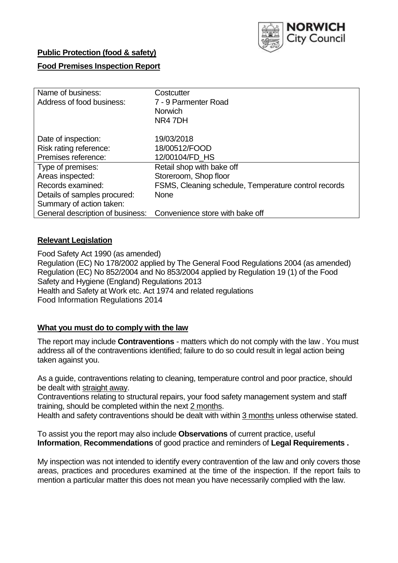

### **Public Protection (food & safety)**

### **Food Premises Inspection Report**

| Name of business:                | Costcutter                                           |  |  |  |  |  |
|----------------------------------|------------------------------------------------------|--|--|--|--|--|
| Address of food business:        | 7 - 9 Parmenter Road                                 |  |  |  |  |  |
|                                  | <b>Norwich</b>                                       |  |  |  |  |  |
|                                  | NR4 7DH                                              |  |  |  |  |  |
| Date of inspection:              | 19/03/2018                                           |  |  |  |  |  |
| Risk rating reference:           | 18/00512/FOOD                                        |  |  |  |  |  |
| Premises reference:              | 12/00104/FD HS                                       |  |  |  |  |  |
| Type of premises:                | Retail shop with bake off                            |  |  |  |  |  |
| Areas inspected:                 | Storeroom, Shop floor                                |  |  |  |  |  |
| Records examined:                | FSMS, Cleaning schedule, Temperature control records |  |  |  |  |  |
| Details of samples procured:     | <b>None</b>                                          |  |  |  |  |  |
| Summary of action taken:         |                                                      |  |  |  |  |  |
| General description of business: | Convenience store with bake off                      |  |  |  |  |  |

#### **Relevant Legislation**

Food Safety Act 1990 (as amended) Regulation (EC) No 178/2002 applied by The General Food Regulations 2004 (as amended) Regulation (EC) No 852/2004 and No 853/2004 applied by Regulation 19 (1) of the Food Safety and Hygiene (England) Regulations 2013 Health and Safety at Work etc. Act 1974 and related regulations Food Information Regulations 2014

### **What you must do to comply with the law**

The report may include **Contraventions** - matters which do not comply with the law . You must address all of the contraventions identified; failure to do so could result in legal action being taken against you.

As a guide, contraventions relating to cleaning, temperature control and poor practice, should be dealt with straight away.

Contraventions relating to structural repairs, your food safety management system and staff training, should be completed within the next 2 months.

Health and safety contraventions should be dealt with within 3 months unless otherwise stated.

To assist you the report may also include **Observations** of current practice, useful **Information**, **Recommendations** of good practice and reminders of **Legal Requirements .**

My inspection was not intended to identify every contravention of the law and only covers those areas, practices and procedures examined at the time of the inspection. If the report fails to mention a particular matter this does not mean you have necessarily complied with the law.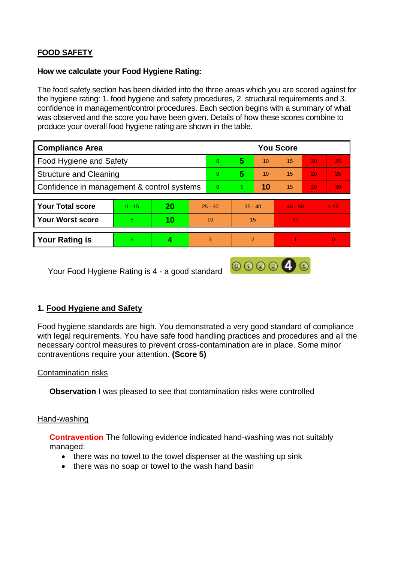# **FOOD SAFETY**

#### **How we calculate your Food Hygiene Rating:**

The food safety section has been divided into the three areas which you are scored against for the hygiene rating: 1. food hygiene and safety procedures, 2. structural requirements and 3. confidence in management/control procedures. Each section begins with a summary of what was observed and the score you have been given. Details of how these scores combine to produce your overall food hygiene rating are shown in the table.

| <b>Compliance Area</b>                     |          |    |           | <b>You Score</b> |                |    |           |    |          |  |  |
|--------------------------------------------|----------|----|-----------|------------------|----------------|----|-----------|----|----------|--|--|
| Food Hygiene and Safety                    |          |    |           | $\Omega$         | 5              | 10 | 15        | 20 | 25       |  |  |
| <b>Structure and Cleaning</b>              |          |    |           | $\Omega$         | 5              | 10 | 15        | 20 | 25       |  |  |
| Confidence in management & control systems |          |    |           | $\Omega$         | 5              | 10 | 15        | 20 | 30       |  |  |
|                                            |          |    |           |                  |                |    |           |    |          |  |  |
| <b>Your Total score</b>                    | $0 - 15$ | 20 | $25 - 30$ |                  | $35 - 40$      |    | $45 - 50$ |    | > 50     |  |  |
| <b>Your Worst score</b>                    | 5        | 10 | 10        |                  | 15             |    | 20        |    |          |  |  |
|                                            |          |    |           |                  |                |    |           |    |          |  |  |
| <b>Your Rating is</b>                      | 5        |    | 3         |                  | $\mathfrak{p}$ |    |           |    | $\Omega$ |  |  |

Your Food Hygiene Rating is 4 - a good standard

### **1. Food Hygiene and Safety**

Food hygiene standards are high. You demonstrated a very good standard of compliance with legal requirements. You have safe food handling practices and procedures and all the necessary control measures to prevent cross-contamination are in place. Some minor contraventions require your attention. **(Score 5)**

000040

#### Contamination risks

**Observation** I was pleased to see that contamination risks were controlled

#### Hand-washing

**Contravention** The following evidence indicated hand-washing was not suitably managed:

- there was no towel to the towel dispenser at the washing up sink
- there was no soap or towel to the wash hand basin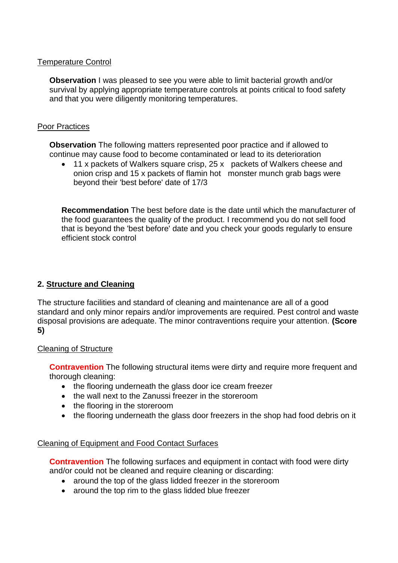#### Temperature Control

**Observation** I was pleased to see you were able to limit bacterial growth and/or survival by applying appropriate temperature controls at points critical to food safety and that you were diligently monitoring temperatures.

#### Poor Practices

**Observation** The following matters represented poor practice and if allowed to continue may cause food to become contaminated or lead to its deterioration

 11 x packets of Walkers square crisp, 25 x packets of Walkers cheese and onion crisp and 15 x packets of flamin hot monster munch grab bags were beyond their 'best before' date of 17/3

**Recommendation** The best before date is the date until which the manufacturer of the food guarantees the quality of the product. I recommend you do not sell food that is beyond the 'best before' date and you check your goods regularly to ensure efficient stock control

## **2. Structure and Cleaning**

The structure facilities and standard of cleaning and maintenance are all of a good standard and only minor repairs and/or improvements are required. Pest control and waste disposal provisions are adequate. The minor contraventions require your attention. **(Score 5)**

#### Cleaning of Structure

**Contravention** The following structural items were dirty and require more frequent and thorough cleaning:

- the flooring underneath the glass door ice cream freezer
- the wall next to the Zanussi freezer in the storeroom
- the flooring in the storeroom
- the flooring underneath the glass door freezers in the shop had food debris on it

### Cleaning of Equipment and Food Contact Surfaces

**Contravention** The following surfaces and equipment in contact with food were dirty and/or could not be cleaned and require cleaning or discarding:

- around the top of the glass lidded freezer in the storeroom
- around the top rim to the glass lidded blue freezer